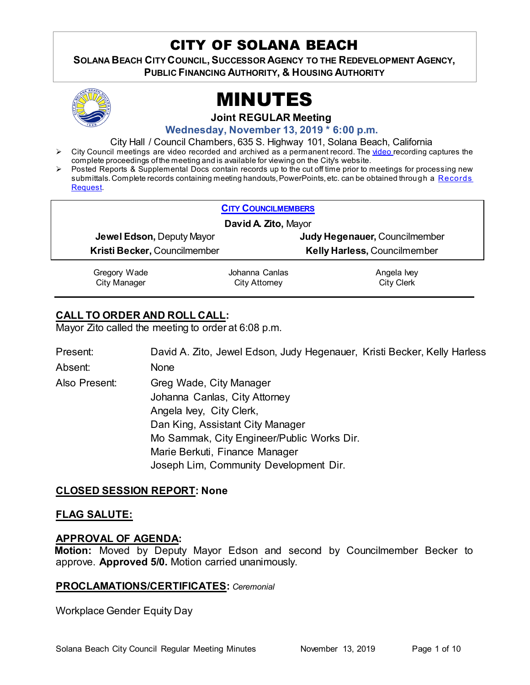# CITY OF SOLANA BEACH

SOLANA BEACH CITY COUNCIL, SUCCESSOR AGENCY TO THE REDEVELOPMENT AGENCY, **PUBLIC FINANCING AUTHORITY, & HOUSING AUTHORITY** 



# MINUTES

**Joint REGULAR Meeting**

**Wednesday, November 13, 2019 \* 6:00 p.m.** 

City Hall / Council Chambers, 635 S. Highway 101, Solana Beach, California

- City Council meetings are [video re](https://solanabeach.12milesout.com/#page=1)corded and archived as a permanent record. The video recording captures the complete proceedings of the meeting and is available for viewing on the City's website.
- Posted Reports & Supplemental Docs contain records up to the cut off time prior to meetings for processing new submittals. Complete records containing meeting handouts, PowerPoints, etc. can be obtained through a Records [Request.](http://www.ci.solana-beach.ca.us/index.asp?SEC=F5D45D10-70CE-4291-A27C-7BD633FC6742&Type=B_BASIC)

| <b>CITY COUNCILMEMBERS</b>       |                |                               |
|----------------------------------|----------------|-------------------------------|
| David A. Zito, Mayor             |                |                               |
| <b>Jewel Edson, Deputy Mayor</b> |                | Judy Hegenauer, Councilmember |
| Kristi Becker, Councilmember     |                | Kelly Harless, Councilmember  |
| Gregory Wade                     | Johanna Canlas | Angela Ivey                   |
| <b>City Manager</b>              | City Attorney  | <b>City Clerk</b>             |

# **CALL TO ORDER AND ROLL CALL:**

Mayor Zito called the meeting to order at 6:08 p.m.

Present: David A. Zito, Jewel Edson, Judy Hegenauer, Kristi Becker, Kelly Harless Absent: None Also Present: Greg Wade, City Manager Johanna Canlas, City Attorney Angela Ivey, City Clerk, Dan King, Assistant City Manager Mo Sammak, City Engineer/Public Works Dir. Marie Berkuti, Finance Manager Joseph Lim, Community Development Dir.

# **CLOSED SESSION REPORT: None**

# **FLAG SALUTE:**

# **APPROVAL OF AGENDA:**

**Motion:** Moved by Deputy Mayor Edson and second by Councilmember Becker to approve. **Approved 5/0.** Motion carried unanimously.

# **PROCLAMATIONS/CERTIFICATES:** *Ceremonial*

Workplace Gender Equity Day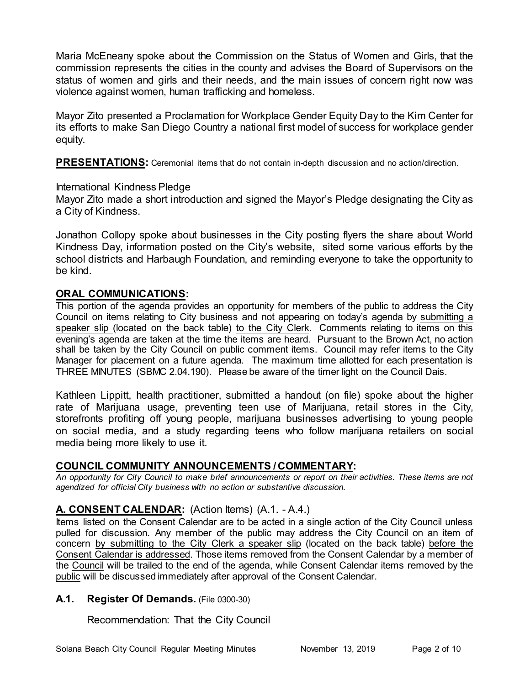Maria McEneany spoke about the Commission on the Status of Women and Girls, that the commission represents the cities in the county and advises the Board of Supervisors on the status of women and girls and their needs, and the main issues of concern right now was violence against women, human trafficking and homeless.

Mayor Zito presented a Proclamation for Workplace Gender Equity Day to the Kim Center for its efforts to make San Diego Country a national first model of success for workplace gender equity.

**PRESENTATIONS:** Ceremonial items that do not contain in-depth discussion and no action/direction.

#### International Kindness Pledge

Mayor Zito made a short introduction and signed the Mayor's Pledge designating the City as a City of Kindness.

Jonathon Collopy spoke about businesses in the City posting flyers the share about World Kindness Day, information posted on the City's website, sited some various efforts by the school districts and Harbaugh Foundation, and reminding everyone to take the opportunity to be kind.

# **ORAL COMMUNICATIONS:**

This portion of the agenda provides an opportunity for members of the public to address the City Council on items relating to City business and not appearing on today's agenda by submitting a speaker slip (located on the back table) to the City Clerk. Comments relating to items on this evening's agenda are taken at the time the items are heard. Pursuant to the Brown Act, no action shall be taken by the City Council on public comment items. Council may refer items to the City Manager for placement on a future agenda. The maximum time allotted for each presentation is THREE MINUTES (SBMC 2.04.190). Please be aware of the timer light on the Council Dais.

Kathleen Lippitt, health practitioner, submitted a handout (on file) spoke about the higher rate of Marijuana usage, preventing teen use of Marijuana, retail stores in the City, storefronts profiting off young people, marijuana businesses advertising to young people on social media, and a study regarding teens who follow marijuana retailers on social media being more likely to use it.

# **COUNCIL COMMUNITY ANNOUNCEMENTS / COMMENTARY:**

*An opportunity for City Council to make brief announcements or report on their activities. These items are not agendized for official City business with no action or substantive discussion.* 

# **A. CONSENT CALENDAR:** (Action Items) (A.1. - A.4.)

Items listed on the Consent Calendar are to be acted in a single action of the City Council unless pulled for discussion. Any member of the public may address the City Council on an item of concern by submitting to the City Clerk a speaker slip (located on the back table) before the Consent Calendar is addressed. Those items removed from the Consent Calendar by a member of the Council will be trailed to the end of the agenda, while Consent Calendar items removed by the public will be discussed immediately after approval of the Consent Calendar.

#### **A.1. Register Of Demands.** (File 0300-30)

Recommendation: That the City Council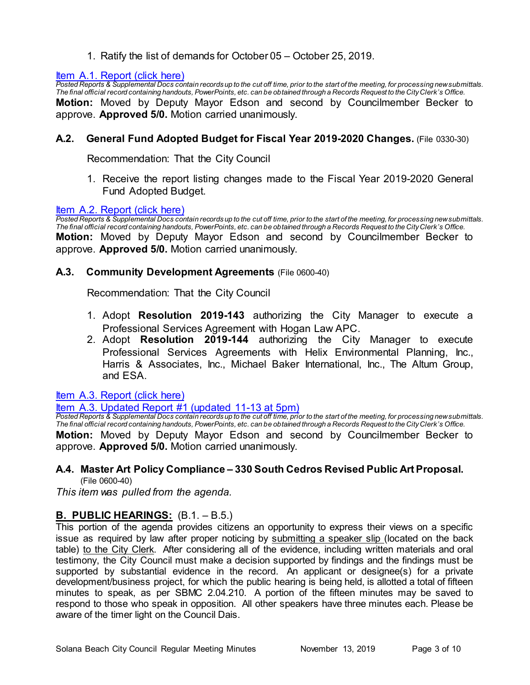1. Ratify the list of demands for October 05 – October 25, 2019.

# <u>Item [A.1. Report \(click here\)](https://solanabeach.govoffice3.com/vertical/Sites/%7B840804C2-F869-4904-9AE3-720581350CE7%7D/uploads/Item_A.1._Report_(click_here)_11-13-19_-_O.pdf)</u>

*Posted Reports & Supplemental Docs contain records up to the cut off time, prior to the start of the meeting, for processing new submittals. The final official record containing handouts, PowerPoints, etc. can be obtained through a Records Request to the City Clerk's Office.* **Motion:** Moved by Deputy Mayor Edson and second by Councilmember Becker to approve. **Approved 5/0.** Motion carried unanimously.

# **A.2. General Fund Adopted Budget for Fiscal Year 2019-2020 Changes.** (File 0330-30)

Recommendation: That the City Council

1. Receive the report listing changes made to the Fiscal Year 2019-2020 General Fund Adopted Budget.

#### [Item A.2. Report \(click here\)](https://solanabeach.govoffice3.com/vertical/Sites/%7B840804C2-F869-4904-9AE3-720581350CE7%7D/uploads/Item_A.2._Report_(click_here)_11-13-19_-_O.pdf)

*Posted Reports & Supplemental Docs contain records up to the cut off time, prior to the start of the meeting, for processing new submittals. The final official record containing handouts, PowerPoints, etc. can be obtained through a Records Request to the City Clerk's Office.* **Motion:** Moved by Deputy Mayor Edson and second by Councilmember Becker to approve. **Approved 5/0.** Motion carried unanimously.

#### **A.3. Community Development Agreements** (File 0600-40)

Recommendation: That the City Council

- 1. Adopt **Resolution 2019-143** authorizing the City Manager to execute a Professional Services Agreement with Hogan Law APC.
- 2. Adopt **Resolution 2019-144** authorizing the City Manager to execute Professional Services Agreements with Helix Environmental Planning, Inc., Harris & Associates, Inc., Michael Baker International, Inc., The Altum Group, and ESA.

#### [Item A.3. Report \(click here\)](https://solanabeach.govoffice3.com/vertical/Sites/%7B840804C2-F869-4904-9AE3-720581350CE7%7D/uploads/Item_A.3._Report_(click_here)_11-13-19_-_O.pdf)

<u>ltem A.3. [Updated Report #1 \(updated 11-13 at 5pm\)](https://solanabeach.govoffice3.com/vertical/Sites/%7B840804C2-F869-4904-9AE3-720581350CE7%7D/uploads/A.3._Updated_Report_1.pdf)</u>

*Posted Reports & Supplemental Docs contain records up to the cut off time, prior to the start of the meeting, for processing new submittals. The final official record containing handouts, PowerPoints, etc. can be obtained through a Records Request to the City Clerk's Office.* **Motion:** Moved by Deputy Mayor Edson and second by Councilmember Becker to approve. **Approved 5/0.** Motion carried unanimously.

#### **A.4. Master Art Policy Compliance – 330 South Cedros Revised Public Art Proposal.** (File 0600-40)

*This item was pulled from the agenda.*

# **B. PUBLIC HEARINGS:** (B.1. – B.5.)

This portion of the agenda provides citizens an opportunity to express their views on a specific issue as required by law after proper noticing by submitting a speaker slip (located on the back table) to the City Clerk. After considering all of the evidence, including written materials and oral testimony, the City Council must make a decision supported by findings and the findings must be supported by substantial evidence in the record. An applicant or designee(s) for a private development/business project, for which the public hearing is being held, is allotted a total of fifteen minutes to speak, as per SBMC 2.04.210. A portion of the fifteen minutes may be saved to respond to those who speak in opposition. All other speakers have three minutes each. Please be aware of the timer light on the Council Dais.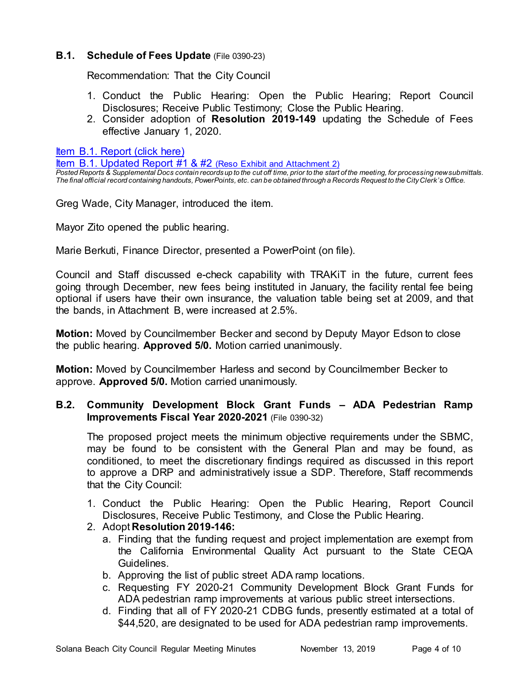# **B.1. Schedule of Fees Update** (File 0390-23)

Recommendation: That the City Council

- 1. Conduct the Public Hearing: Open the Public Hearing; Report Council Disclosures; Receive Public Testimony; Close the Public Hearing.
- 2. Consider adoption of **Resolution 2019-149** updating the Schedule of Fees effective January 1, 2020.

[Item B.1. Report \(click here\)](https://solanabeach.govoffice3.com/vertical/Sites/%7B840804C2-F869-4904-9AE3-720581350CE7%7D/uploads/Item_B.1._Report_(click_here)_11-13-19_-_O.pdf)

Item B.1. Updated Report #1 & #2 (Reso Exhibit and Attachment 2)

*Posted Reports & Supplemental Docs contain records up to the cut off time, prior to the start of the meeting, for processing new submittals. The final official record containing handouts, PowerPoints, etc. can be obtained through a Records Request to the City Clerk's Office.*

Greg Wade, City Manager, introduced the item.

Mayor Zito opened the public hearing.

Marie Berkuti, Finance Director, presented a PowerPoint (on file).

Council and Staff discussed e-check capability with TRAKiT in the future, current fees going through December, new fees being instituted in January, the facility rental fee being optional if users have their own insurance, the valuation table being set at 2009, and that the bands, in Attachment B, were increased at 2.5%.

**Motion:** Moved by Councilmember Becker and second by Deputy Mayor Edson to close the public hearing. **Approved 5/0.** Motion carried unanimously.

**Motion:** Moved by Councilmember Harless and second by Councilmember Becker to approve. **Approved 5/0.** Motion carried unanimously.

# **B.2. Community Development Block Grant Funds – ADA Pedestrian Ramp Improvements Fiscal Year 2020-2021** (File 0390-32)

The proposed project meets the minimum objective requirements under the SBMC, may be found to be consistent with the General Plan and may be found, as conditioned, to meet the discretionary findings required as discussed in this report to approve a DRP and administratively issue a SDP. Therefore, Staff recommends that the City Council:

- 1. Conduct the Public Hearing: Open the Public Hearing, Report Council Disclosures, Receive Public Testimony, and Close the Public Hearing.
- 2. Adopt **Resolution 2019-146:**
	- a. Finding that the funding request and project implementation are exempt from the California Environmental Quality Act pursuant to the State CEQA Guidelines.
	- b. Approving the list of public street ADA ramp locations.
	- c. Requesting FY 2020-21 Community Development Block Grant Funds for ADA pedestrian ramp improvements at various public street intersections.
	- d. Finding that all of FY 2020-21 CDBG funds, presently estimated at a total of \$44,520, are designated to be used for ADA pedestrian ramp improvements.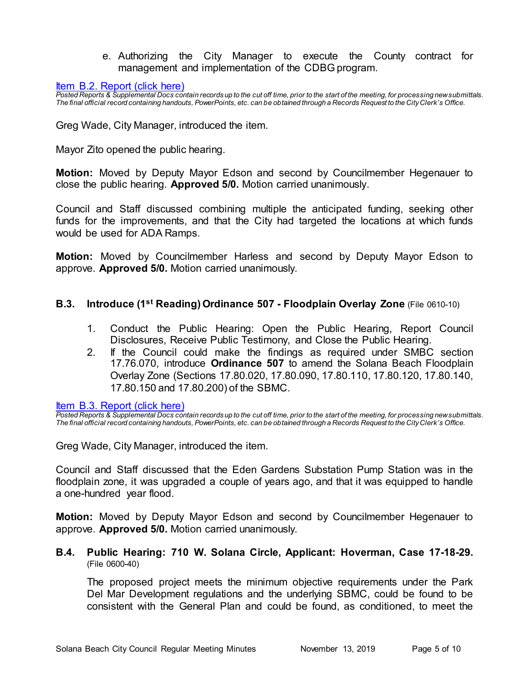e. Authorizing the City Manager to execute the County contract for management and implementation of the CDBG program.

[Item B.2. Report \(click here\)](https://solanabeach.govoffice3.com/vertical/Sites/%7B840804C2-F869-4904-9AE3-720581350CE7%7D/uploads/Item_B.2._Report_(click_here)_11-13-19_-_O.pdf)

*Posted Reports & Supplemental Docs contain records up to the cut off time, prior to the start of the meeting, for processing new submittals. The final official record containing handouts, PowerPoints, etc. can be obtained through a Records Request to the City Clerk's Office.*

Greg Wade, City Manager, introduced the item.

Mayor Zito opened the public hearing.

**Motion:** Moved by Deputy Mayor Edson and second by Councilmember Hegenauer to close the public hearing. **Approved 5/0.** Motion carried unanimously.

Council and Staff discussed combining multiple the anticipated funding, seeking other funds for the improvements, and that the City had targeted the locations at which funds would be used for ADA Ramps.

**Motion:** Moved by Councilmember Harless and second by Deputy Mayor Edson to approve. **Approved 5/0.** Motion carried unanimously.

#### **B.3. Introduce (1st Reading) Ordinance 507 - Floodplain Overlay Zone** (File 0610-10)

- 1. Conduct the Public Hearing: Open the Public Hearing, Report Council Disclosures, Receive Public Testimony, and Close the Public Hearing.
- 2. If the Council could make the findings as required under SMBC section 17.76.070, introduce **Ordinance 507** to amend the Solana Beach Floodplain Overlay Zone (Sections 17.80.020, 17.80.090, 17.80.110, 17.80.120, 17.80.140, 17.80.150 and 17.80.200) of the SBMC.

[Item B.3. Report \(click here\)](https://solanabeach.govoffice3.com/vertical/Sites/%7B840804C2-F869-4904-9AE3-720581350CE7%7D/uploads/Item_B.3._Report_(click_here)_11-13-19.-_O.pdf)

*Posted Reports & Supplemental Docs contain records up to the cut off time, prior to the start of the meeting, for processing new submittals. The final official record containing handouts, PowerPoints, etc. can be obtained through a Records Request to the City Clerk's Office.*

Greg Wade, City Manager, introduced the item.

Council and Staff discussed that the Eden Gardens Substation Pump Station was in the floodplain zone, it was upgraded a couple of years ago, and that it was equipped to handle a one-hundred year flood.

**Motion:** Moved by Deputy Mayor Edson and second by Councilmember Hegenauer to approve. **Approved 5/0.** Motion carried unanimously.

#### **B.4. Public Hearing: 710 W. Solana Circle, Applicant: Hoverman, Case 17-18-29.** (File 0600-40)

The proposed project meets the minimum objective requirements under the Park Del Mar Development regulations and the underlying SBMC, could be found to be consistent with the General Plan and could be found, as conditioned, to meet the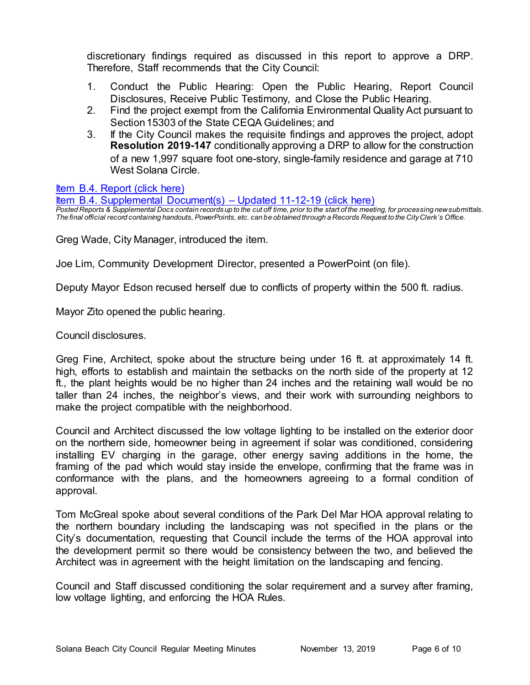discretionary findings required as discussed in this report to approve a DRP. Therefore, Staff recommends that the City Council:

- 1. Conduct the Public Hearing: Open the Public Hearing, Report Council Disclosures, Receive Public Testimony, and Close the Public Hearing.
- 2. Find the project exempt from the California Environmental Quality Act pursuant to Section 15303 of the State CEQA Guidelines; and
- 3. If the City Council makes the requisite findings and approves the project, adopt **Resolution 2019-147** conditionally approving a DRP to allow for the construction of a new 1,997 square foot one-story, single-family residence and garage at 710 West Solana Circle.

[Item B.4. Report \(click here\)](https://solanabeach.govoffice3.com/vertical/Sites/%7B840804C2-F869-4904-9AE3-720581350CE7%7D/uploads/Item_B.4._Report_(click_here)_11-13-19_-_O.pdf)

[Item B.4. Supplemental Document\(s\) –](https://solanabeach.govoffice3.com/vertical/Sites/%7B840804C2-F869-4904-9AE3-720581350CE7%7D/uploads/Item_B.4._Supplemental_Documents_(upd._11-12).pdf) Updated 11-12-19 (click here) *Posted Reports & Supplemental Docs contain records up to the cut off time, prior to the start of the meeting, for processing new submittals. The final official record containing handouts, PowerPoints, etc. can be obtained through a Records Request to the City Clerk's Office.*

Greg Wade, City Manager, introduced the item.

Joe Lim, Community Development Director, presented a PowerPoint (on file).

Deputy Mayor Edson recused herself due to conflicts of property within the 500 ft. radius.

Mayor Zito opened the public hearing.

Council disclosures.

Greg Fine, Architect, spoke about the structure being under 16 ft. at approximately 14 ft. high, efforts to establish and maintain the setbacks on the north side of the property at 12 ft., the plant heights would be no higher than 24 inches and the retaining wall would be no taller than 24 inches, the neighbor's views, and their work with surrounding neighbors to make the project compatible with the neighborhood.

Council and Architect discussed the low voltage lighting to be installed on the exterior door on the northern side, homeowner being in agreement if solar was conditioned, considering installing EV charging in the garage, other energy saving additions in the home, the framing of the pad which would stay inside the envelope, confirming that the frame was in conformance with the plans, and the homeowners agreeing to a formal condition of approval.

Tom McGreal spoke about several conditions of the Park Del Mar HOA approval relating to the northern boundary including the landscaping was not specified in the plans or the City's documentation, requesting that Council include the terms of the HOA approval into the development permit so there would be consistency between the two, and believed the Architect was in agreement with the height limitation on the landscaping and fencing.

Council and Staff discussed conditioning the solar requirement and a survey after framing, low voltage lighting, and enforcing the HOA Rules.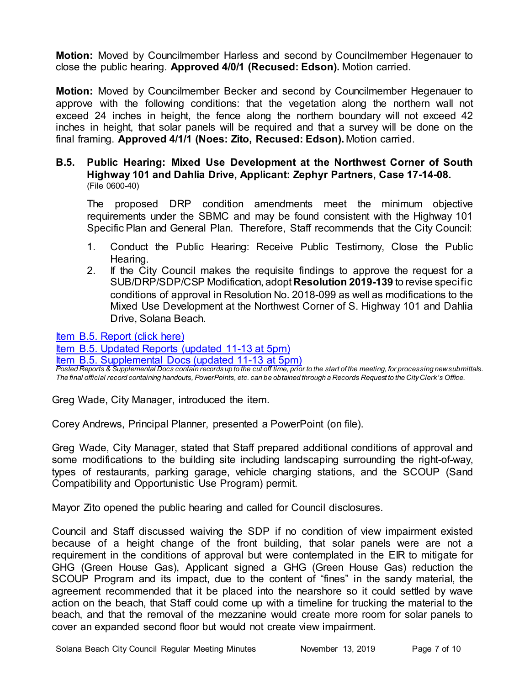**Motion:** Moved by Councilmember Harless and second by Councilmember Hegenauer to close the public hearing. **Approved 4/0/1 (Recused: Edson).** Motion carried.

**Motion:** Moved by Councilmember Becker and second by Councilmember Hegenauer to approve with the following conditions: that the vegetation along the northern wall not exceed 24 inches in height, the fence along the northern boundary will not exceed 42 inches in height, that solar panels will be required and that a survey will be done on the final framing. **Approved 4/1/1 (Noes: Zito, Recused: Edson).** Motion carried.

### **B.5. Public Hearing: Mixed Use Development at the Northwest Corner of South Highway 101 and Dahlia Drive, Applicant: Zephyr Partners, Case 17-14-08.** (File 0600-40)

The proposed DRP condition amendments meet the minimum objective requirements under the SBMC and may be found consistent with the Highway 101 Specific Plan and General Plan. Therefore, Staff recommends that the City Council:

- 1. Conduct the Public Hearing: Receive Public Testimony, Close the Public Hearing.
- 2. If the City Council makes the requisite findings to approve the request for a SUB/DRP/SDP/CSP Modification, adopt **Resolution 2019-139** to revise specific conditions of approval in Resolution No. 2018-099 as well as modifications to the Mixed Use Development at the Northwest Corner of S. Highway 101 and Dahlia Drive, Solana Beach.

[Item B.5. Report \(click here\)](https://solanabeach.govoffice3.com/vertical/Sites/%7B840804C2-F869-4904-9AE3-720581350CE7%7D/uploads/Item_B.5._Report_(click_here)_11-13-19_-_O.pdf)

[Item B.5. Updated Reports](https://solanabeach.govoffice3.com/vertical/Sites/%7B840804C2-F869-4904-9AE3-720581350CE7%7D/uploads/B.5._Updated_Reports_(updated_11-13_at_510pm).pdf) (updated 11-13 at 5pm)

[Item B.5. Supplemental Docs \(updated 11-13](https://solanabeach.govoffice3.com/vertical/Sites/%7B840804C2-F869-4904-9AE3-720581350CE7%7D/uploads/Item_B.5._Supplemental_Docs_(upd._11-13_at_915am)(1).pdf) at 5pm)

*Posted Reports & Supplemental Docs contain records up to the cut off time, prior to the start of the meeting, for processing new submittals. The final official record containing handouts, PowerPoints, etc. can be obtained through a Records Request to the City Clerk's Office.*

Greg Wade, City Manager, introduced the item.

Corey Andrews, Principal Planner, presented a PowerPoint (on file).

Greg Wade, City Manager, stated that Staff prepared additional conditions of approval and some modifications to the building site including landscaping surrounding the right-of-way, types of restaurants, parking garage, vehicle charging stations, and the SCOUP (Sand Compatibility and Opportunistic Use Program) permit.

Mayor Zito opened the public hearing and called for Council disclosures.

Council and Staff discussed waiving the SDP if no condition of view impairment existed because of a height change of the front building, that solar panels were are not a requirement in the conditions of approval but were contemplated in the EIR to mitigate for GHG (Green House Gas), Applicant signed a GHG (Green House Gas) reduction the SCOUP Program and its impact, due to the content of "fines" in the sandy material, the agreement recommended that it be placed into the nearshore so it could settled by wave action on the beach, that Staff could come up with a timeline for trucking the material to the beach, and that the removal of the mezzanine would create more room for solar panels to cover an expanded second floor but would not create view impairment.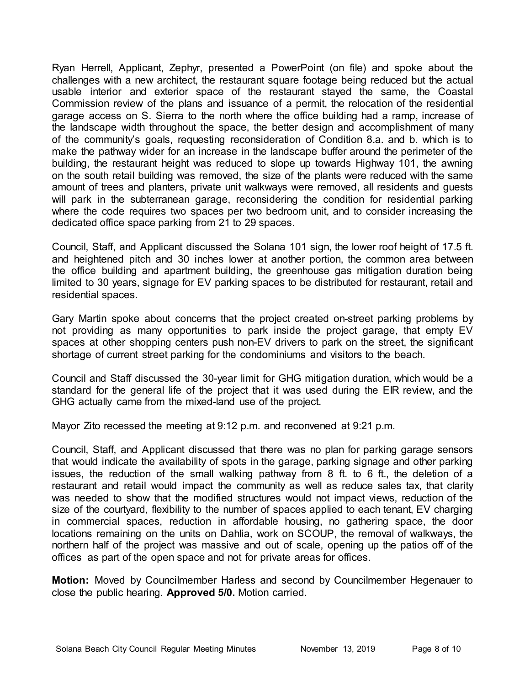Ryan Herrell, Applicant, Zephyr, presented a PowerPoint (on file) and spoke about the challenges with a new architect, the restaurant square footage being reduced but the actual usable interior and exterior space of the restaurant stayed the same, the Coastal Commission review of the plans and issuance of a permit, the relocation of the residential garage access on S. Sierra to the north where the office building had a ramp, increase of the landscape width throughout the space, the better design and accomplishment of many of the community's goals, requesting reconsideration of Condition 8.a. and b. which is to make the pathway wider for an increase in the landscape buffer around the perimeter of the building, the restaurant height was reduced to slope up towards Highway 101, the awning on the south retail building was removed, the size of the plants were reduced with the same amount of trees and planters, private unit walkways were removed, all residents and guests will park in the subterranean garage, reconsidering the condition for residential parking where the code requires two spaces per two bedroom unit, and to consider increasing the dedicated office space parking from 21 to 29 spaces.

Council, Staff, and Applicant discussed the Solana 101 sign, the lower roof height of 17.5 ft. and heightened pitch and 30 inches lower at another portion, the common area between the office building and apartment building, the greenhouse gas mitigation duration being limited to 30 years, signage for EV parking spaces to be distributed for restaurant, retail and residential spaces.

Gary Martin spoke about concerns that the project created on-street parking problems by not providing as many opportunities to park inside the project garage, that empty EV spaces at other shopping centers push non-EV drivers to park on the street, the significant shortage of current street parking for the condominiums and visitors to the beach.

Council and Staff discussed the 30-year limit for GHG mitigation duration, which would be a standard for the general life of the project that it was used during the EIR review, and the GHG actually came from the mixed-land use of the project.

Mayor Zito recessed the meeting at 9:12 p.m. and reconvened at 9:21 p.m.

Council, Staff, and Applicant discussed that there was no plan for parking garage sensors that would indicate the availability of spots in the garage, parking signage and other parking issues, the reduction of the small walking pathway from 8 ft. to 6 ft., the deletion of a restaurant and retail would impact the community as well as reduce sales tax, that clarity was needed to show that the modified structures would not impact views, reduction of the size of the courtyard, flexibility to the number of spaces applied to each tenant, EV charging in commercial spaces, reduction in affordable housing, no gathering space, the door locations remaining on the units on Dahlia, work on SCOUP, the removal of walkways, the northern half of the project was massive and out of scale, opening up the patios off of the offices as part of the open space and not for private areas for offices.

**Motion:** Moved by Councilmember Harless and second by Councilmember Hegenauer to close the public hearing. **Approved 5/0.** Motion carried.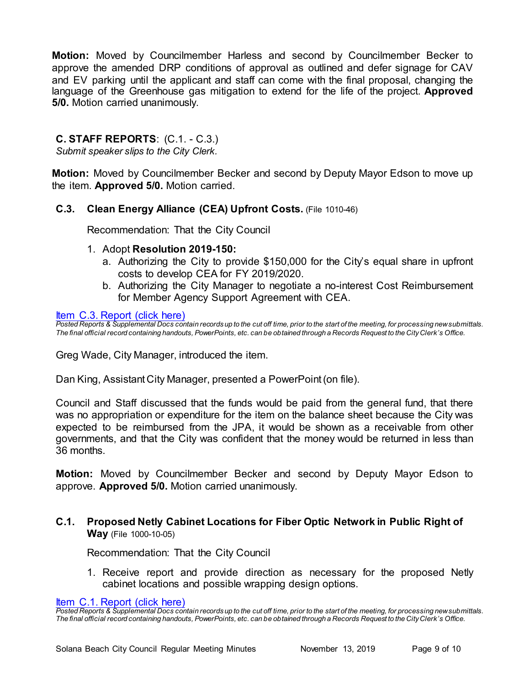**Motion:** Moved by Councilmember Harless and second by Councilmember Becker to approve the amended DRP conditions of approval as outlined and defer signage for CAV and EV parking until the applicant and staff can come with the final proposal, changing the language of the Greenhouse gas mitigation to extend for the life of the project. **Approved 5/0.** Motion carried unanimously.

# **C. STAFF REPORTS**: (C.1. - C.3.)

*Submit speaker slips to the City Clerk.*

**Motion:** Moved by Councilmember Becker and second by Deputy Mayor Edson to move up the item. **Approved 5/0.** Motion carried.

#### **C.3. Clean Energy Alliance (CEA) Upfront Costs.** (File 1010-46)

Recommendation: That the City Council

- 1. Adopt **Resolution 2019-150:**
	- a. Authorizing the City to provide \$150,000 for the City's equal share in upfront costs to develop CEA for FY 2019/2020.
	- b. Authorizing the City Manager to negotiate a no-interest Cost Reimbursement for Member Agency Support Agreement with CEA.

[Item C.3. Report \(click here\)](https://solanabeach.govoffice3.com/vertical/Sites/%7B840804C2-F869-4904-9AE3-720581350CE7%7D/uploads/Item_C.3._Report_(click_here)_11-13-19_-_O.pdf)

*Posted Reports & Supplemental Docs contain records up to the cut off time, prior to the start of the meeting, for processing new submittals. The final official record containing handouts, PowerPoints, etc. can be obtained through a Records Request to the City Clerk's Office.*

Greg Wade, City Manager, introduced the item.

Dan King, Assistant City Manager, presented a PowerPoint (on file).

Council and Staff discussed that the funds would be paid from the general fund, that there was no appropriation or expenditure for the item on the balance sheet because the City was expected to be reimbursed from the JPA, it would be shown as a receivable from other governments, and that the City was confident that the money would be returned in less than 36 months.

**Motion:** Moved by Councilmember Becker and second by Deputy Mayor Edson to approve. **Approved 5/0.** Motion carried unanimously.

**C.1. Proposed Netly Cabinet Locations for Fiber Optic Network in Public Right of Way** (File 1000-10-05)

Recommendation: That the City Council

1. Receive report and provide direction as necessary for the proposed Netly cabinet locations and possible wrapping design options.

[Item C.1. Report \(click here\)](https://solanabeach.govoffice3.com/vertical/Sites/%7B840804C2-F869-4904-9AE3-720581350CE7%7D/uploads/Item_C.1._Report_(click_here)_11-13-19_-_O.pdf)

*Posted Reports & Supplemental Docs contain records up to the cut off time, prior to the start of the meeting, for processing new submittals. The final official record containing handouts, PowerPoints, etc. can be obtained through a Records Request to the City Clerk's Office.*